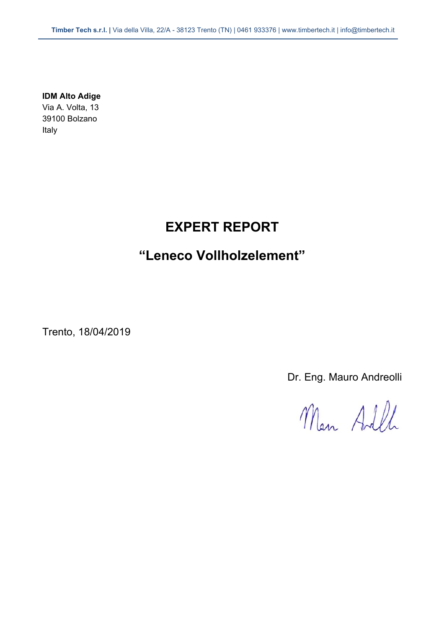**IDM Alto Adige**  Via A. Volta, 13 39100 Bolzano Italy

# **EXPERT REPORT**

# **"Leneco Vollholzelement"**

Trento, 18/04/2019

Dr. Eng. Mauro Andreolli

Man Adll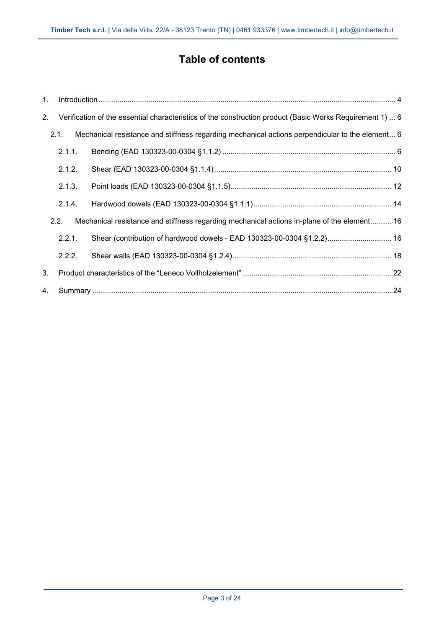# **Table of contents**

| 1. |        |                                                                                                          |  |
|----|--------|----------------------------------------------------------------------------------------------------------|--|
| 2. |        | Verification of the essential characteristics of the construction product (Basic Works Requirement 1)  6 |  |
|    | 2.1.   | Mechanical resistance and stiffness regarding mechanical actions perpendicular to the element 6          |  |
|    | 2.1.1. |                                                                                                          |  |
|    | 2.1.2. |                                                                                                          |  |
|    | 2.1.3. |                                                                                                          |  |
|    | 2.1.4. |                                                                                                          |  |
|    | 2.2.   | Mechanical resistance and stiffness regarding mechanical actions in-plane of the element 16              |  |
|    | 2.2.1. | Shear (contribution of hardwood dowels - EAD 130323-00-0304 §1.2.2) 16                                   |  |
|    | 2.2.2. |                                                                                                          |  |
| 3. |        |                                                                                                          |  |
| 4. |        |                                                                                                          |  |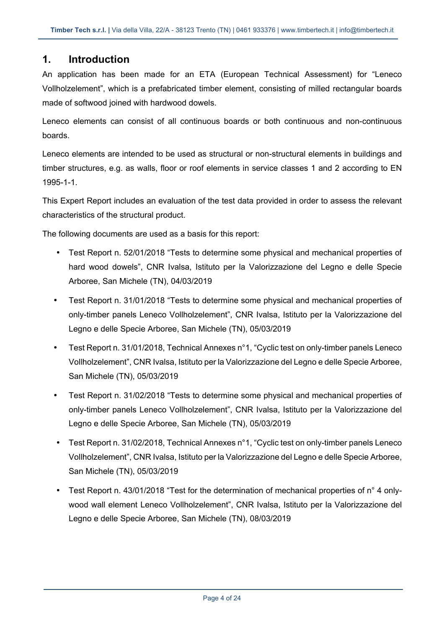## **1. Introduction**

An application has been made for an ETA (European Technical Assessment) for "Leneco Vollholzelement", which is a prefabricated timber element, consisting of milled rectangular boards made of softwood joined with hardwood dowels.

Leneco elements can consist of all continuous boards or both continuous and non-continuous boards.

Leneco elements are intended to be used as structural or non-structural elements in buildings and timber structures, e.g. as walls, floor or roof elements in service classes 1 and 2 according to EN 1995-1-1.

This Expert Report includes an evaluation of the test data provided in order to assess the relevant characteristics of the structural product.

The following documents are used as a basis for this report:

- Test Report n. 52/01/2018 "Tests to determine some physical and mechanical properties of hard wood dowels", CNR Ivalsa, Istituto per la Valorizzazione del Legno e delle Specie Arboree, San Michele (TN), 04/03/2019
- Test Report n. 31/01/2018 "Tests to determine some physical and mechanical properties of only-timber panels Leneco Vollholzelement", CNR Ivalsa, Istituto per la Valorizzazione del Legno e delle Specie Arboree, San Michele (TN), 05/03/2019
- Test Report n. 31/01/2018, Technical Annexes n°1, "Cyclic test on only-timber panels Leneco Vollholzelement", CNR Ivalsa, Istituto per la Valorizzazione del Legno e delle Specie Arboree, San Michele (TN), 05/03/2019
- Test Report n. 31/02/2018 "Tests to determine some physical and mechanical properties of only-timber panels Leneco Vollholzelement", CNR Ivalsa, Istituto per la Valorizzazione del Legno e delle Specie Arboree, San Michele (TN), 05/03/2019
- Test Report n. 31/02/2018, Technical Annexes n°1, "Cyclic test on only-timber panels Leneco Vollholzelement", CNR Ivalsa, Istituto per la Valorizzazione del Legno e delle Specie Arboree, San Michele (TN), 05/03/2019
- Test Report n. 43/01/2018 "Test for the determination of mechanical properties of n° 4 onlywood wall element Leneco Vollholzelement", CNR Ivalsa, Istituto per la Valorizzazione del Legno e delle Specie Arboree, San Michele (TN), 08/03/2019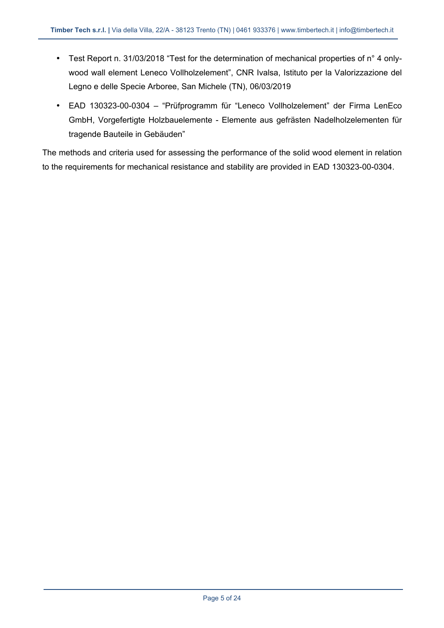- Test Report n. 31/03/2018 "Test for the determination of mechanical properties of n° 4 onlywood wall element Leneco Vollholzelement", CNR Ivalsa, Istituto per la Valorizzazione del Legno e delle Specie Arboree, San Michele (TN), 06/03/2019
- EAD 130323-00-0304 "Prüfprogramm für "Leneco Vollholzelement" der Firma LenEco GmbH, Vorgefertigte Holzbauelemente - Elemente aus gefrästen Nadelholzelementen für tragende Bauteile in Gebäuden"

The methods and criteria used for assessing the performance of the solid wood element in relation to the requirements for mechanical resistance and stability are provided in EAD 130323-00-0304.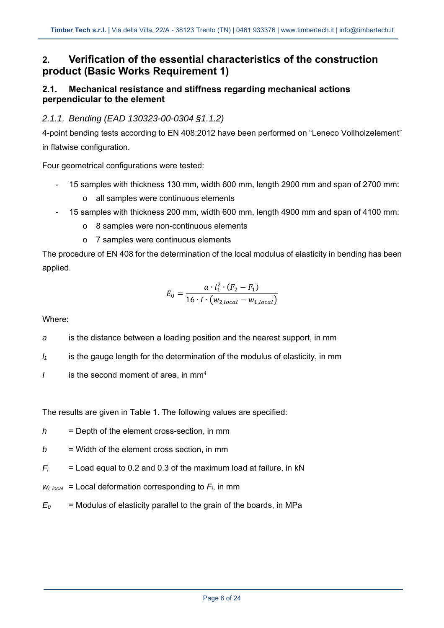# **2. Verification of the essential characteristics of the construction product (Basic Works Requirement 1)**

### **2.1. Mechanical resistance and stiffness regarding mechanical actions perpendicular to the element**

### *2.1.1. Bending (EAD 130323-00-0304 §1.1.2)*

4-point bending tests according to EN 408:2012 have been performed on "Leneco Vollholzelement" in flatwise configuration.

Four geometrical configurations were tested:

- 15 samples with thickness 130 mm, width 600 mm, length 2900 mm and span of 2700 mm:
	- o all samples were continuous elements
- 15 samples with thickness 200 mm, width 600 mm, length 4900 mm and span of 4100 mm:
	- o 8 samples were non-continuous elements
	- o 7 samples were continuous elements

The procedure of EN 408 for the determination of the local modulus of elasticity in bending has been applied.

$$
E_0 = \frac{a \cdot l_1^2 \cdot (F_2 - F_1)}{16 \cdot I \cdot (w_{2,local} - w_{1,local})}
$$

Where:

*a* is the distance between a loading position and the nearest support, in mm

- *l1* is the gauge length for the determination of the modulus of elasticity, in mm
- *I* is the second moment of area, in mm<sup>4</sup>

The results are given in Table 1. The following values are specified:

- *h* = Depth of the element cross-section, in mm
- $b =$  Width of the element cross section, in mm
- $F_i$  = Load equal to 0.2 and 0.3 of the maximum load at failure, in kN
- $W_{i, local}$  = Local deformation corresponding to  $F_{i}$ , in mm
- $E_0$  = Modulus of elasticity parallel to the grain of the boards, in MPa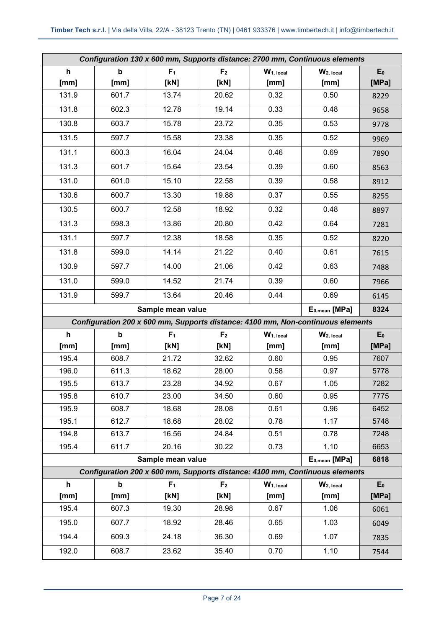| Configuration 130 x 600 mm, Supports distance: 2700 mm, Continuous elements |                           |                   |                |                       |                                                                                 |           |
|-----------------------------------------------------------------------------|---------------------------|-------------------|----------------|-----------------------|---------------------------------------------------------------------------------|-----------|
| $\mathsf{h}$                                                                | $\boldsymbol{\mathsf{b}}$ | F <sub>1</sub>    | F <sub>2</sub> | W <sub>1, local</sub> | W <sub>2, local</sub>                                                           | $E_0$     |
| [mm]                                                                        | [mm]                      | [kN]              | [kN]           | [mm]                  | [mm]                                                                            | [MPa]     |
| 131.9                                                                       | 601.7                     | 13.74             | 20.62          | 0.32                  | 0.50                                                                            | 8229      |
| 131.8                                                                       | 602.3                     | 12.78             | 19.14          | 0.33                  | 0.48                                                                            | 9658      |
| 130.8                                                                       | 603.7                     | 15.78             | 23.72          | 0.35                  | 0.53                                                                            | 9778      |
| 131.5                                                                       | 597.7                     | 15.58             | 23.38          | 0.35                  | 0.52                                                                            | 9969      |
| 131.1                                                                       | 600.3                     | 16.04             | 24.04          | 0.46                  | 0.69                                                                            | 7890      |
| 131.3                                                                       | 601.7                     | 15.64             | 23.54          | 0.39                  | 0.60                                                                            | 8563      |
| 131.0                                                                       | 601.0                     | 15.10             | 22.58          | 0.39                  | 0.58                                                                            | 8912      |
| 130.6                                                                       | 600.7                     | 13.30             | 19.88          | 0.37                  | 0.55                                                                            | 8255      |
| 130.5                                                                       | 600.7                     | 12.58             | 18.92          | 0.32                  | 0.48                                                                            | 8897      |
| 131.3                                                                       | 598.3                     | 13.86             | 20.80          | 0.42                  | 0.64                                                                            | 7281      |
| 131.1                                                                       | 597.7                     | 12.38             | 18.58          | 0.35                  | 0.52                                                                            | 8220      |
| 131.8                                                                       | 599.0                     | 14.14             | 21.22          | 0.40                  | 0.61                                                                            | 7615      |
| 130.9                                                                       | 597.7                     | 14.00             | 21.06          | 0.42                  | 0.63                                                                            | 7488      |
| 131.0                                                                       | 599.0                     | 14.52             | 21.74          | 0.39                  | 0.60                                                                            | 7966      |
| 131.9                                                                       | 599.7                     | 13.64             | 20.46          | 0.44                  | 0.69                                                                            | 6145      |
|                                                                             |                           |                   |                |                       |                                                                                 |           |
|                                                                             |                           | Sample mean value |                |                       | E <sub>0, mean</sub> [MPa]                                                      | 8324      |
|                                                                             |                           |                   |                |                       | Configuration 200 x 600 mm, Supports distance: 4100 mm, Non-continuous elements |           |
| $\mathsf{h}$                                                                | $\mathbf b$               | F <sub>1</sub>    | F <sub>2</sub> | W <sub>1, local</sub> | $W2$ , local                                                                    | $E_0$     |
| [mm]                                                                        | [mm]                      | [KN]              | [KN]           | [mm]                  | [mm]                                                                            | [MPa]     |
| 195.4                                                                       | 608.7                     | 21.72             | 32.62          | 0.60                  | 0.95                                                                            | 7607      |
| 196.0                                                                       | 611.3                     | 18.62             | 28.00          | 0.58                  | 0.97                                                                            | 5778      |
| 195.5                                                                       | 613.7                     | 23.28             | 34.92          | 0.67                  | 1.05                                                                            | 7282      |
| 195.8                                                                       | 610.7                     | 23.00             | 34.50          | 0.60                  | 0.95                                                                            | 7775      |
| 195.9                                                                       | 608.7                     | 18.68             | 28.08          | 0.61                  | 0.96                                                                            | 6452      |
| 195.1                                                                       | 612.7                     | 18.68             | 28.02          | 0.78                  | 1.17                                                                            | 5748      |
| 194.8                                                                       | 613.7                     | 16.56             | 24.84          | 0.51                  | 0.78                                                                            | 7248      |
| 195.4                                                                       | 611.7                     | 20.16             | 30.22          | 0.73                  | 1.10                                                                            | 6653      |
|                                                                             |                           | Sample mean value |                |                       | E <sub>0, mean</sub> [MPa]                                                      | 6818      |
|                                                                             |                           |                   |                |                       | Configuration 200 x 600 mm, Supports distance: 4100 mm, Continuous elements     |           |
| $\mathbf h$                                                                 | $\mathbf b$               | F <sub>1</sub>    | F <sub>2</sub> | W <sub>1, local</sub> | W <sub>2, local</sub>                                                           | $E_0$     |
| [mm]                                                                        | [mm]                      | [KN]              | [KN]           | [mm]                  | [mm]                                                                            | [ $MPa$ ] |
| 195.4                                                                       | 607.3                     | 19.30             | 28.98          | 0.67                  | 1.06                                                                            | 6061      |
| 195.0                                                                       | 607.7                     | 18.92             | 28.46          | 0.65                  | 1.03                                                                            | 6049      |
| 194.4                                                                       | 609.3                     | 24.18             | 36.30          | 0.69                  | 1.07                                                                            | 7835      |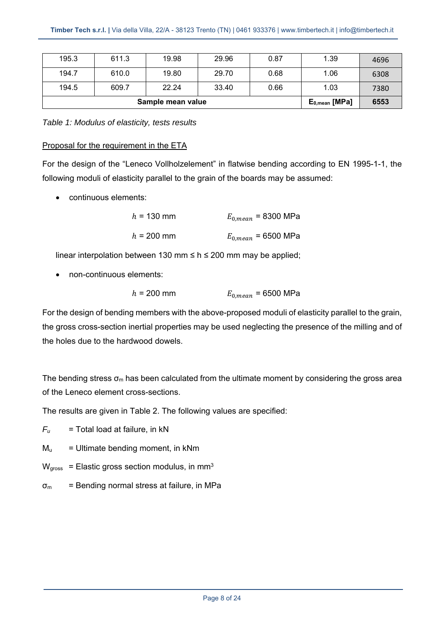| 195.3 | 611.3             | 19.98              | 29.96 | 0.87 | 1.39 | 4696 |
|-------|-------------------|--------------------|-------|------|------|------|
| 194.7 | 610.0             | 19.80              | 29.70 | 0.68 | 1.06 | 6308 |
| 194.5 | 609.7             | 22.24              | 33.40 | 0.66 | 1.03 | 7380 |
|       | Sample mean value | $E_{0,mean}$ [MPa] | 6553  |      |      |      |

*Table 1: Modulus of elasticity, tests results* 

#### Proposal for the requirement in the ETA

For the design of the "Leneco Vollholzelement" in flatwise bending according to EN 1995-1-1, the following moduli of elasticity parallel to the grain of the boards may be assumed:

continuous elements:

| $h = 130$ mm | $E_{0,mean}$ = 8300 MPa |
|--------------|-------------------------|
| $h = 200$ mm | $E_{0,mean}$ = 6500 MPa |

linear interpolation between 130 mm  $\leq$  h  $\leq$  200 mm may be applied;

non-continuous elements:

$$
h = 200 \text{ mm}
$$
  $E_{0,mean} = 6500 \text{ MPa}$ 

For the design of bending members with the above-proposed moduli of elasticity parallel to the grain, the gross cross-section inertial properties may be used neglecting the presence of the milling and of the holes due to the hardwood dowels.

The bending stress  $\sigma_m$  has been calculated from the ultimate moment by considering the gross area of the Leneco element cross-sections.

The results are given in Table 2. The following values are specified:

 $F_u$  = Total load at failure, in kN

- $M_u$  = Ultimate bending moment, in kNm
- $W<sub>gross</sub>$  = Elastic gross section modulus, in mm<sup>3</sup>
- $\sigma_{\rm m}$  = Bending normal stress at failure, in MPa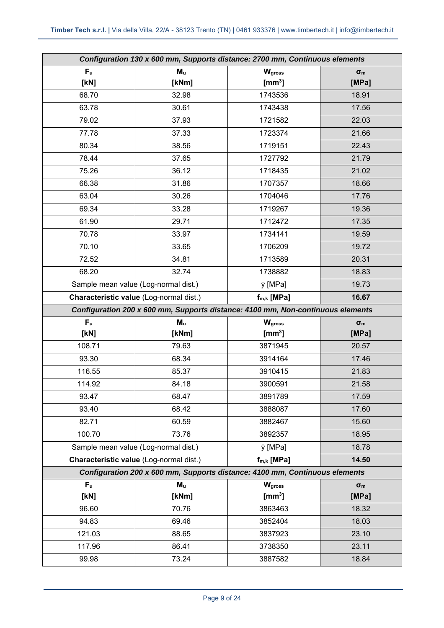| Configuration 130 x 600 mm, Supports distance: 2700 mm, Continuous elements |                                                                                 |                    |                     |  |
|-----------------------------------------------------------------------------|---------------------------------------------------------------------------------|--------------------|---------------------|--|
| F <sub>u</sub>                                                              | $M_{u}$                                                                         | Wgross             | $\sigma_{\text{m}}$ |  |
| [KN]                                                                        | [kNm]                                                                           | $\mathrm{[mm^3]}$  | [MPa]               |  |
| 68.70                                                                       | 32.98                                                                           | 1743536            | 18.91               |  |
| 63.78                                                                       | 30.61                                                                           | 1743438            | 17.56               |  |
| 79.02                                                                       | 37.93                                                                           | 1721582            | 22.03               |  |
| 77.78                                                                       | 37.33                                                                           | 1723374            | 21.66               |  |
| 80.34                                                                       | 38.56                                                                           | 1719151            | 22.43               |  |
| 78.44                                                                       | 37.65                                                                           | 1727792            | 21.79               |  |
| 75.26                                                                       | 36.12                                                                           | 1718435            | 21.02               |  |
| 66.38                                                                       | 31.86                                                                           | 1707357            | 18.66               |  |
| 63.04                                                                       | 30.26                                                                           | 1704046            | 17.76               |  |
| 69.34                                                                       | 33.28                                                                           | 1719267            | 19.36               |  |
| 61.90                                                                       | 29.71                                                                           | 1712472            | 17.35               |  |
| 70.78                                                                       | 33.97                                                                           | 1734141            | 19.59               |  |
| 70.10                                                                       | 33.65                                                                           | 1706209            | 19.72               |  |
| 72.52                                                                       | 34.81                                                                           | 1713589            | 20.31               |  |
| 68.20                                                                       | 32.74                                                                           | 1738882            | 18.83               |  |
|                                                                             | Sample mean value (Log-normal dist.)                                            | y [MPa]            | 19.73               |  |
|                                                                             | Characteristic value (Log-normal dist.)                                         | $f_{m,k}$ [MPa]    | 16.67               |  |
|                                                                             | Configuration 200 x 600 mm, Supports distance: 4100 mm, Non-continuous elements |                    |                     |  |
| F <sub>u</sub>                                                              | M <sub>u</sub>                                                                  | <b>W</b> gross     | $\sigma_{\text{m}}$ |  |
| [kN]                                                                        | [kNm]                                                                           | $\mathrm{[mm^3]}$  | [MPa]               |  |
| 108.71                                                                      | 79.63                                                                           | 3871945            | 20.57               |  |
| 93.30                                                                       | 68.34                                                                           | 3914164            | 17.46               |  |
| 116.55                                                                      | 85.37                                                                           | 3910415            | 21.83               |  |
| 114.92                                                                      | 84.18                                                                           | 3900591            | 21.58               |  |
| 93.47                                                                       | 68.47                                                                           | 3891789            | 17.59               |  |
| 93.40                                                                       | 68.42                                                                           |                    |                     |  |
|                                                                             |                                                                                 | 3888087            | 17.60               |  |
| 82.71                                                                       | 60.59                                                                           | 3882467            | 15.60               |  |
| 100.70                                                                      | 73.76                                                                           | 3892357            | 18.95               |  |
|                                                                             | Sample mean value (Log-normal dist.)                                            | y [MPa]            | 18.78               |  |
|                                                                             | Characteristic value (Log-normal dist.)                                         | $f_{m,k}$ [MPa]    | 14.50               |  |
|                                                                             | Configuration 200 x 600 mm, Supports distance: 4100 mm, Continuous elements     |                    |                     |  |
| F <sub>u</sub>                                                              | M <sub>u</sub>                                                                  | <b>W</b> gross     | $\sigma_{\rm m}$    |  |
| [kN]                                                                        | [kNm]                                                                           | $\mathrm{[mm^3]}$  | [MPa]               |  |
| 96.60                                                                       | 70.76                                                                           | 3863463            | 18.32               |  |
| 94.83                                                                       | 69.46                                                                           | 3852404            | 18.03               |  |
| 121.03                                                                      | 88.65                                                                           | 3837923            | 23.10               |  |
| 117.96<br>99.98                                                             | 86.41<br>73.24                                                                  | 3738350<br>3887582 | 23.11<br>18.84      |  |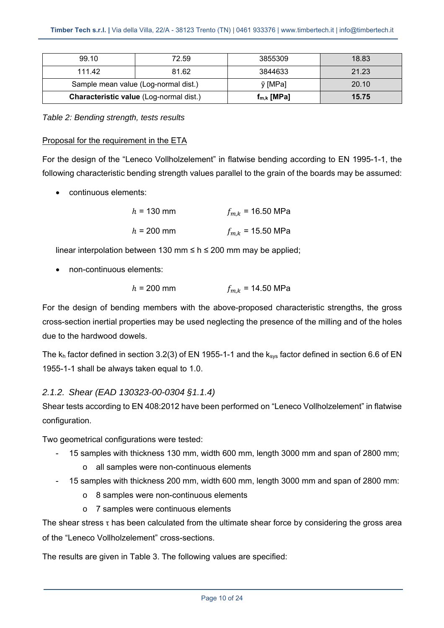| <b>Characteristic value (Log-normal dist.)</b> |       | $f_{m,k}$ [MPa] | 15.75 |
|------------------------------------------------|-------|-----------------|-------|
| Sample mean value (Log-normal dist.)           |       | y [MPa]         | 20.10 |
| 111.42                                         | 81.62 | 3844633         | 21.23 |
| 99.10                                          | 72.59 | 3855309         | 18.83 |

*Table 2: Bending strength, tests results* 

#### Proposal for the requirement in the ETA

For the design of the "Leneco Vollholzelement" in flatwise bending according to EN 1995-1-1, the following characteristic bending strength values parallel to the grain of the boards may be assumed:

continuous elements:

| $h = 130$ mm | $f_{m,k}$ = 16.50 MPa |
|--------------|-----------------------|
| $h = 200$ mm | $f_{m,k}$ = 15.50 MPa |

linear interpolation between 130 mm  $\leq$  h  $\leq$  200 mm may be applied;

non-continuous elements:

$$
h = 200 \text{ mm}
$$
  $f_{m,k} = 14.50 \text{ MPa}$ 

For the design of bending members with the above-proposed characteristic strengths, the gross cross-section inertial properties may be used neglecting the presence of the milling and of the holes due to the hardwood dowels.

The  $k_h$  factor defined in section 3.2(3) of EN 1955-1-1 and the  $k_{sys}$  factor defined in section 6.6 of EN 1955-1-1 shall be always taken equal to 1.0.

#### *2.1.2. Shear (EAD 130323-00-0304 §1.1.4)*

Shear tests according to EN 408:2012 have been performed on "Leneco Vollholzelement" in flatwise configuration.

Two geometrical configurations were tested:

- 15 samples with thickness 130 mm, width 600 mm, length 3000 mm and span of 2800 mm;
	- o all samples were non-continuous elements
- 15 samples with thickness 200 mm, width 600 mm, length 3000 mm and span of 2800 mm:
	- o 8 samples were non-continuous elements
	- o 7 samples were continuous elements

The shear stress  $\tau$  has been calculated from the ultimate shear force by considering the gross area of the "Leneco Vollholzelement" cross-sections.

The results are given in Table 3. The following values are specified: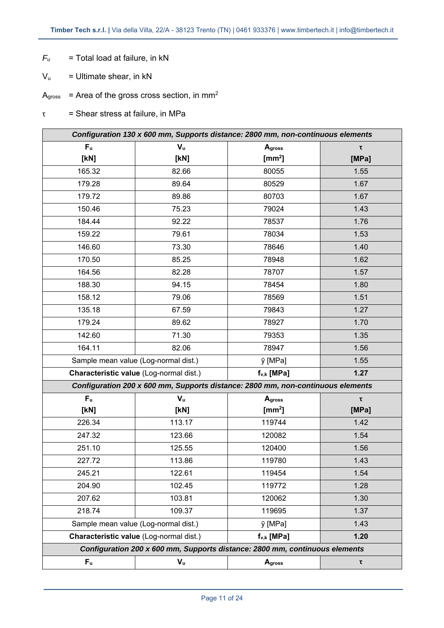- $F_u$  = Total load at failure, in kN
- $V_{u}$  = Ultimate shear, in kN
- $A<sub>gross</sub>$  = Area of the gross cross section, in mm<sup>2</sup>
- $\tau =$  Shear stress at failure, in MPa

| Configuration 130 x 600 mm, Supports distance: 2800 mm, non-continuous elements |                                      |                                                                                 |             |  |
|---------------------------------------------------------------------------------|--------------------------------------|---------------------------------------------------------------------------------|-------------|--|
| F <sub>u</sub>                                                                  | $V_{u}$                              | Agross                                                                          | $\mathbf r$ |  |
| [KN]                                                                            | [KN]                                 | [ $mm2$ ]                                                                       | [MPa]       |  |
| 165.32                                                                          | 82.66                                | 80055                                                                           | 1.55        |  |
| 179.28                                                                          | 89.64                                | 80529                                                                           | 1.67        |  |
| 179.72                                                                          | 89.86                                | 80703                                                                           | 1.67        |  |
| 150.46                                                                          | 75.23                                | 79024                                                                           | 1.43        |  |
| 184.44                                                                          | 92.22                                | 78537                                                                           | 1.76        |  |
| 159.22                                                                          | 79.61                                | 78034                                                                           | 1.53        |  |
| 146.60                                                                          | 73.30                                | 78646                                                                           | 1.40        |  |
| 170.50                                                                          | 85.25                                | 78948                                                                           | 1.62        |  |
| 164.56                                                                          | 82.28                                | 78707                                                                           | 1.57        |  |
| 188.30                                                                          | 94.15                                | 78454                                                                           | 1.80        |  |
| 158.12                                                                          | 79.06                                | 78569                                                                           | 1.51        |  |
| 135.18                                                                          | 67.59                                | 79843                                                                           | 1.27        |  |
| 179.24                                                                          | 89.62                                | 78927                                                                           | 1.70        |  |
| 142.60                                                                          | 71.30                                | 79353                                                                           | 1.35        |  |
| 164.11                                                                          | 82.06                                | 78947                                                                           | 1.56        |  |
|                                                                                 | Sample mean value (Log-normal dist.) | y [MPa]                                                                         | 1.55        |  |
| Characteristic value (Log-normal dist.)                                         |                                      | $f_{v,k}$ [MPa]                                                                 | 1.27        |  |
|                                                                                 |                                      | Configuration 200 x 600 mm, Supports distance: 2800 mm, non-continuous elements |             |  |
| F <sub>u</sub>                                                                  | $V_{u}$                              | Agross                                                                          | τ           |  |
| [KN]                                                                            | [kN]                                 | $\text{[mm}^2\text{]}$                                                          | [MPa]       |  |
| 226.34                                                                          | 113.17                               | 119744                                                                          | 1.42        |  |
| 247.32                                                                          | 123.66                               | 120082                                                                          | 1.54        |  |
| 251.10                                                                          | 125.55                               | 120400                                                                          | 1.56        |  |
| 227.72                                                                          | 113.86                               | 119780                                                                          | 1.43        |  |
| 245.21                                                                          | 122.61                               | 119454                                                                          | 1.54        |  |
| 204.90                                                                          | 102.45                               | 119772                                                                          | 1.28        |  |
| 207.62                                                                          | 103.81                               | 120062                                                                          | 1.30        |  |
| 218.74                                                                          | 109.37                               | 119695                                                                          | 1.37        |  |
| Sample mean value (Log-normal dist.)                                            |                                      | y [MPa]                                                                         | 1.43        |  |
| Characteristic value (Log-normal dist.)                                         |                                      | $f_{v,k}$ [MPa]                                                                 | 1.20        |  |
|                                                                                 |                                      | Configuration 200 x 600 mm, Supports distance: 2800 mm, continuous elements     |             |  |
| F <sub>u</sub>                                                                  | $\mathbf{V}_\mathbf{u}$              | Agross                                                                          | τ           |  |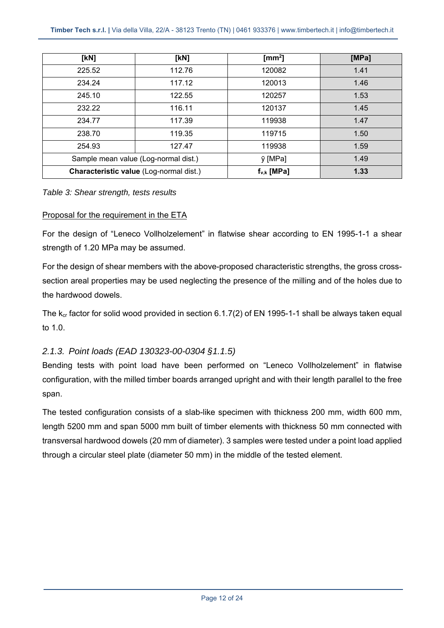| [kN]   | [kN]                                    | [ $mm2$ ]       | [MPa] |
|--------|-----------------------------------------|-----------------|-------|
| 225.52 | 112.76                                  | 120082          | 1.41  |
| 234.24 | 117.12                                  | 120013          | 1.46  |
| 245.10 | 122.55                                  | 120257          | 1.53  |
| 232.22 | 116.11                                  | 120137          | 1.45  |
| 234.77 | 117.39                                  | 119938          | 1.47  |
| 238.70 | 119.35                                  | 119715          | 1.50  |
| 254.93 | 127.47                                  | 119938          | 1.59  |
|        | Sample mean value (Log-normal dist.)    | y [MPa]         | 1.49  |
|        | Characteristic value (Log-normal dist.) | $f_{v,k}$ [MPa] | 1.33  |

#### *Table 3: Shear strength, tests results*

#### Proposal for the requirement in the ETA

For the design of "Leneco Vollholzelement" in flatwise shear according to EN 1995-1-1 a shear strength of 1.20 MPa may be assumed.

For the design of shear members with the above-proposed characteristic strengths, the gross crosssection areal properties may be used neglecting the presence of the milling and of the holes due to the hardwood dowels.

The  $k_{cr}$  factor for solid wood provided in section 6.1.7(2) of EN 1995-1-1 shall be always taken equal to 1.0.

#### *2.1.3. Point loads (EAD 130323-00-0304 §1.1.5)*

Bending tests with point load have been performed on "Leneco Vollholzelement" in flatwise configuration, with the milled timber boards arranged upright and with their length parallel to the free span.

The tested configuration consists of a slab-like specimen with thickness 200 mm, width 600 mm, length 5200 mm and span 5000 mm built of timber elements with thickness 50 mm connected with transversal hardwood dowels (20 mm of diameter). 3 samples were tested under a point load applied through a circular steel plate (diameter 50 mm) in the middle of the tested element.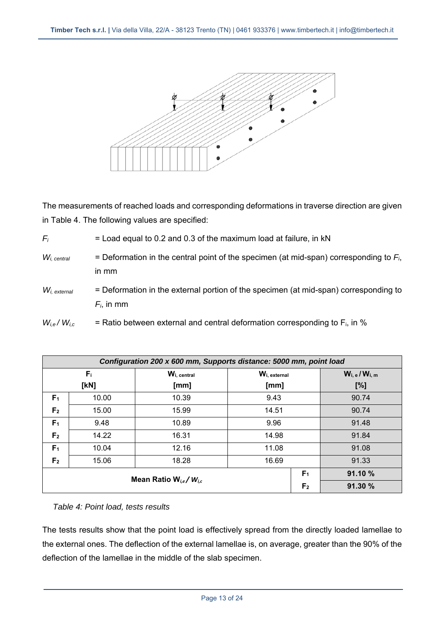

The measurements of reached loads and corresponding deformations in traverse direction are given in Table 4. The following values are specified:

| $F_i$                                | $=$ Load equal to 0.2 and 0.3 of the maximum load at failure, in kN                                   |
|--------------------------------------|-------------------------------------------------------------------------------------------------------|
| $W_{i. \; central}$                  | = Deformation in the central point of the specimen (at mid-span) corresponding to $Fi$ ,<br>in mm     |
| $\mathcal{W}_{\mathit{i, external}}$ | = Deformation in the external portion of the specimen (at mid-span) corresponding to<br>$F_i$ , in mm |
| $W_{i,e}$ / $W_{i,c}$                | = Ratio between external and central deformation corresponding to $F_i$ , in %                        |

| Configuration 200 x 600 mm, Supports distance: 5000 mm, point load |                                                           |                |              |  |                       |  |
|--------------------------------------------------------------------|-----------------------------------------------------------|----------------|--------------|--|-----------------------|--|
|                                                                    | $F_{\rm i}$                                               | Wi, central    | Wi, external |  | $W_{i, e} / W_{i, m}$ |  |
| [KN]                                                               |                                                           | [mm]           | [mm]         |  | [%]                   |  |
| F <sub>1</sub>                                                     | 10.00                                                     | 10.39          | 9.43         |  | 90.74                 |  |
| F <sub>2</sub>                                                     | 15.00                                                     | 15.99          | 14.51        |  | 90.74                 |  |
| F <sub>1</sub>                                                     | 9.48                                                      | 10.89          | 9.96         |  | 91.48                 |  |
| F <sub>2</sub>                                                     | 14.22                                                     | 16.31          | 14.98        |  | 91.84                 |  |
| F <sub>1</sub>                                                     | 10.04                                                     | 12.16          | 11.08        |  | 91.08                 |  |
| F <sub>2</sub>                                                     | 15.06                                                     | 18.28          | 16.69        |  | 91.33                 |  |
|                                                                    | 91.10 %<br>F <sub>1</sub><br>Mean Ratio $W_{i,e}/W_{i,c}$ |                |              |  |                       |  |
|                                                                    |                                                           | F <sub>2</sub> | 91.30 %      |  |                       |  |

*Table 4: Point load, tests results* 

The tests results show that the point load is effectively spread from the directly loaded lamellae to the external ones. The deflection of the external lamellae is, on average, greater than the 90% of the deflection of the lamellae in the middle of the slab specimen.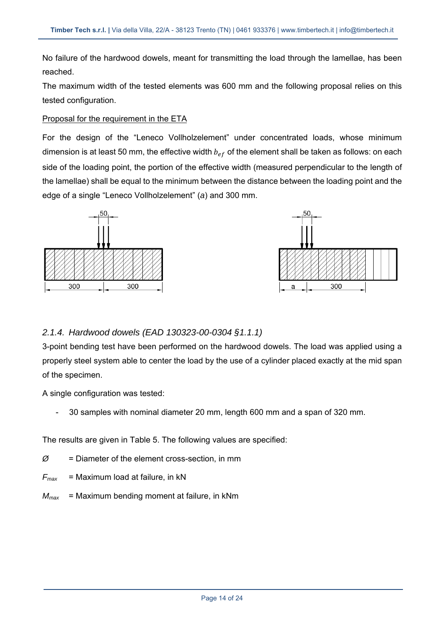No failure of the hardwood dowels, meant for transmitting the load through the lamellae, has been reached.

The maximum width of the tested elements was 600 mm and the following proposal relies on this tested configuration.

#### Proposal for the requirement in the ETA

For the design of the "Leneco Vollholzelement" under concentrated loads, whose minimum dimension is at least 50 mm, the effective width  $b_{ef}$  of the element shall be taken as follows: on each side of the loading point, the portion of the effective width (measured perpendicular to the length of the lamellae) shall be equal to the minimum between the distance between the loading point and the edge of a single "Leneco Vollholzelement" (*a*) and 300 mm.





### *2.1.4. Hardwood dowels (EAD 130323-00-0304 §1.1.1)*

3-point bending test have been performed on the hardwood dowels. The load was applied using a properly steel system able to center the load by the use of a cylinder placed exactly at the mid span of the specimen.

A single configuration was tested:

- 30 samples with nominal diameter 20 mm, length 600 mm and a span of 320 mm.

The results are given in Table 5. The following values are specified:

- $\varnothing$  = Diameter of the element cross-section, in mm
- $F_{\text{max}}$  = Maximum load at failure, in kN
- *Mmax* = Maximum bending moment at failure, in kNm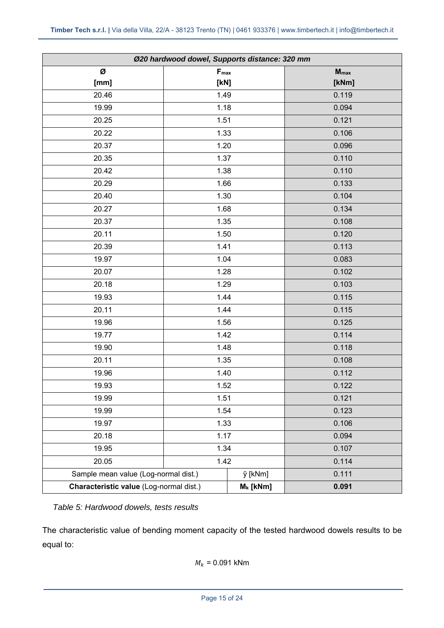| Ø20 hardwood dowel, Supports distance: 320 mm |           |             |                  |  |
|-----------------------------------------------|-----------|-------------|------------------|--|
| Ø                                             | $F_{max}$ |             | $M_{\text{max}}$ |  |
| [mm]                                          | [KN]      |             | [kNm]            |  |
| 20.46                                         | 1.49      |             | 0.119            |  |
| 19.99                                         | 1.18      |             | 0.094            |  |
| 20.25                                         | 1.51      |             | 0.121            |  |
| 20.22                                         | 1.33      |             | 0.106            |  |
| 20.37                                         | 1.20      |             | 0.096            |  |
| 20.35                                         | 1.37      |             | 0.110            |  |
| 20.42                                         | 1.38      |             | 0.110            |  |
| 20.29                                         | 1.66      |             | 0.133            |  |
| 20.40                                         | 1.30      |             | 0.104            |  |
| 20.27                                         | 1.68      |             | 0.134            |  |
| 20.37                                         | 1.35      |             | 0.108            |  |
| 20.11                                         | 1.50      |             | 0.120            |  |
| 20.39                                         | 1.41      |             | 0.113            |  |
| 19.97                                         | 1.04      |             | 0.083            |  |
| 20.07                                         | 1.28      |             | 0.102            |  |
| 20.18                                         | 1.29      |             | 0.103            |  |
| 19.93                                         | 1.44      |             | 0.115            |  |
| 20.11                                         | 1.44      |             | 0.115            |  |
| 19.96                                         | 1.56      |             | 0.125            |  |
| 19.77                                         | 1.42      |             | 0.114            |  |
| 19.90                                         | 1.48      |             | 0.118            |  |
| 20.11                                         | 1.35      |             | 0.108            |  |
| 19.96                                         | 1.40      |             | 0.112            |  |
| 19.93                                         | 1.52      |             | 0.122            |  |
| 19.99                                         | 1.51      |             | 0.121            |  |
| 19.99                                         | 1.54      |             | 0.123            |  |
| 19.97                                         | 1.33      |             | 0.106            |  |
| 20.18                                         | 1.17      |             | 0.094            |  |
| 19.95                                         | 1.34      |             | 0.107            |  |
| 20.05                                         | 1.42      |             | 0.114            |  |
| Sample mean value (Log-normal dist.)          |           | ÿ [kNm]     | 0.111            |  |
| Characteristic value (Log-normal dist.)       |           | $M_k$ [kNm] | 0.091            |  |

*Table 5: Hardwood dowels, tests results* 

The characteristic value of bending moment capacity of the tested hardwood dowels results to be equal to:

$$
M_k = 0.091 \text{ kNm}
$$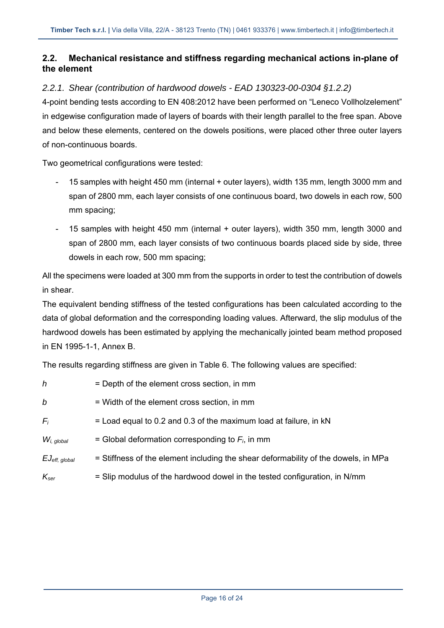### **2.2. Mechanical resistance and stiffness regarding mechanical actions in-plane of the element**

### *2.2.1. Shear (contribution of hardwood dowels - EAD 130323-00-0304 §1.2.2)*

4-point bending tests according to EN 408:2012 have been performed on "Leneco Vollholzelement" in edgewise configuration made of layers of boards with their length parallel to the free span. Above and below these elements, centered on the dowels positions, were placed other three outer layers of non-continuous boards.

Two geometrical configurations were tested:

- 15 samples with height 450 mm (internal + outer layers), width 135 mm, length 3000 mm and span of 2800 mm, each layer consists of one continuous board, two dowels in each row, 500 mm spacing;
- 15 samples with height 450 mm (internal + outer layers), width 350 mm, length 3000 and span of 2800 mm, each layer consists of two continuous boards placed side by side, three dowels in each row, 500 mm spacing;

All the specimens were loaded at 300 mm from the supports in order to test the contribution of dowels in shear.

The equivalent bending stiffness of the tested configurations has been calculated according to the data of global deformation and the corresponding loading values. Afterward, the slip modulus of the hardwood dowels has been estimated by applying the mechanically jointed beam method proposed in EN 1995-1-1, Annex B.

The results regarding stiffness are given in Table 6. The following values are specified:

| h                            | = Depth of the element cross section, in mm                                        |
|------------------------------|------------------------------------------------------------------------------------|
| b                            | = Width of the element cross section, in mm                                        |
| $F_i$                        | $=$ Load equal to 0.2 and 0.3 of the maximum load at failure, in kN                |
| $W_i$ , global               | = Global deformation corresponding to $F_i$ , in mm                                |
| $EJ_{\mathrm{eff},\;global}$ | = Stiffness of the element including the shear deformability of the dowels, in MPa |
| $K_{\text{ser}}$             | = Slip modulus of the hardwood dowel in the tested configuration, in N/mm          |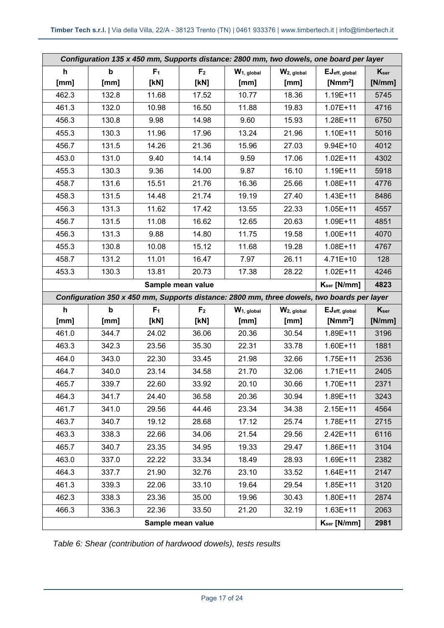| Configuration 135 x 450 mm, Supports distance: 2800 mm, two dowels, one board per layer |                           |                |                   |                |               |                                                                                            |           |
|-----------------------------------------------------------------------------------------|---------------------------|----------------|-------------------|----------------|---------------|--------------------------------------------------------------------------------------------|-----------|
| h                                                                                       | $\boldsymbol{\mathsf{b}}$ | F <sub>1</sub> | F <sub>2</sub>    | $W_1$ , global | $W2$ , global | EJeff, global                                                                              | $K_{ser}$ |
| [mm]                                                                                    | [mm]                      | [KN]           | [kN]              | [mm]           | [mm]          | [ $Nmm2$ ]                                                                                 | [N/mm]    |
| 462.3                                                                                   | 132.8                     | 11.68          | 17.52             | 10.77          | 18.36         | $1.19E + 11$                                                                               | 5745      |
| 461.3                                                                                   | 132.0                     | 10.98          | 16.50             | 11.88          | 19.83         | $1.07E + 11$                                                                               | 4716      |
| 456.3                                                                                   | 130.8                     | 9.98           | 14.98             | 9.60           | 15.93         | 1.28E+11                                                                                   | 6750      |
| 455.3                                                                                   | 130.3                     | 11.96          | 17.96             | 13.24          | 21.96         | $1.10E + 11$                                                                               | 5016      |
| 456.7                                                                                   | 131.5                     | 14.26          | 21.36             | 15.96          | 27.03         | $9.94E + 10$                                                                               | 4012      |
| 453.0                                                                                   | 131.0                     | 9.40           | 14.14             | 9.59           | 17.06         | $1.02E + 11$                                                                               | 4302      |
| 455.3                                                                                   | 130.3                     | 9.36           | 14.00             | 9.87           | 16.10         | $1.19E + 11$                                                                               | 5918      |
| 458.7                                                                                   | 131.6                     | 15.51          | 21.76             | 16.36          | 25.66         | 1.08E+11                                                                                   | 4776      |
| 458.3                                                                                   | 131.5                     | 14.48          | 21.74             | 19.19          | 27.40         | $1.43E + 11$                                                                               | 8486      |
| 456.3                                                                                   | 131.3                     | 11.62          | 17.42             | 13.55          | 22.33         | $1.05E + 11$                                                                               | 4557      |
| 456.7                                                                                   | 131.5                     | 11.08          | 16.62             | 12.65          | 20.63         | 1.09E+11                                                                                   | 4851      |
| 456.3                                                                                   | 131.3                     | 9.88           | 14.80             | 11.75          | 19.58         | 1.00E+11                                                                                   | 4070      |
| 455.3                                                                                   | 130.8                     | 10.08          | 15.12             | 11.68          | 19.28         | $1.08E + 11$                                                                               | 4767      |
| 458.7                                                                                   | 131.2                     | 11.01          | 16.47             | 7.97           | 26.11         | $4.71E+10$                                                                                 | 128       |
| 453.3                                                                                   | 130.3                     | 13.81          | 20.73             | 17.38          | 28.22         | $1.02E + 11$                                                                               | 4246      |
|                                                                                         |                           |                | Sample mean value |                |               | $K_{ser}$ [N/mm]                                                                           | 4823      |
|                                                                                         |                           |                |                   |                |               |                                                                                            |           |
|                                                                                         |                           |                |                   |                |               | Configuration 350 x 450 mm, Supports distance: 2800 mm, three dowels, two boards per layer |           |
| h                                                                                       | $\mathbf b$               | F <sub>1</sub> | F <sub>2</sub>    | $W_1$ , global | $W2$ , global | EJeff, global                                                                              | $K_{ser}$ |
| [mm]                                                                                    | [mm]                      | [KN]           | [kN]              | [mm]           | [mm]          | [ $Nmm2$ ]                                                                                 | [N/mm]    |
| 461.0                                                                                   | 344.7                     | 24.02          | 36.06             | 20.36          | 30.54         | 1.89E+11                                                                                   | 3196      |
| 463.3                                                                                   | 342.3                     | 23.56          | 35.30             | 22.31          | 33.78         | $1.60E + 11$                                                                               | 1881      |
| 464.0                                                                                   | 343.0                     | 22.30          | 33.45             | 21.98          | 32.66         | $1.75E + 11$                                                                               | 2536      |
| 464.7                                                                                   | 340.0                     | 23.14          | 34.58             | 21.70          | 32.06         | $1.71E + 11$                                                                               | 2405      |
| 465.7                                                                                   | 339.7                     | 22.60          | 33.92             | 20.10          | 30.66         | 1.70E+11                                                                                   | 2371      |
| 464.3                                                                                   | 341.7                     | 24.40          | 36.58             | 20.36          | 30.94         | $1.89E + 11$                                                                               | 3243      |
| 461.7                                                                                   | 341.0                     | 29.56          | 44.46             | 23.34          | 34.38         | $2.15E+11$                                                                                 | 4564      |
| 463.7                                                                                   | 340.7                     | 19.12          | 28.68             | 17.12          | 25.74         | 1.78E+11                                                                                   | 2715      |
| 463.3                                                                                   | 338.3                     | 22.66          | 34.06             | 21.54          | 29.56         | 2.42E+11                                                                                   | 6116      |
| 465.7                                                                                   | 340.7                     | 23.35          | 34.95             | 19.33          | 29.47         | 1.86E+11                                                                                   | 3104      |
| 463.0                                                                                   | 337.0                     | 22.22          | 33.34             | 18.49          | 28.93         | 1.69E+11                                                                                   | 2382      |
| 464.3                                                                                   | 337.7                     | 21.90          | 32.76             | 23.10          | 33.52         | $1.64E + 11$                                                                               | 2147      |
| 461.3                                                                                   | 339.3                     | 22.06          | 33.10             | 19.64          | 29.54         | $1.85E + 11$                                                                               | 3120      |
| 462.3                                                                                   | 338.3                     | 23.36          | 35.00             | 19.96          | 30.43         | $1.80E + 11$                                                                               | 2874      |
| 466.3                                                                                   | 336.3                     | 22.36          | 33.50             | 21.20          | 32.19         | $1.63E+11$                                                                                 | 2063      |

*Table 6: Shear (contribution of hardwood dowels), tests results*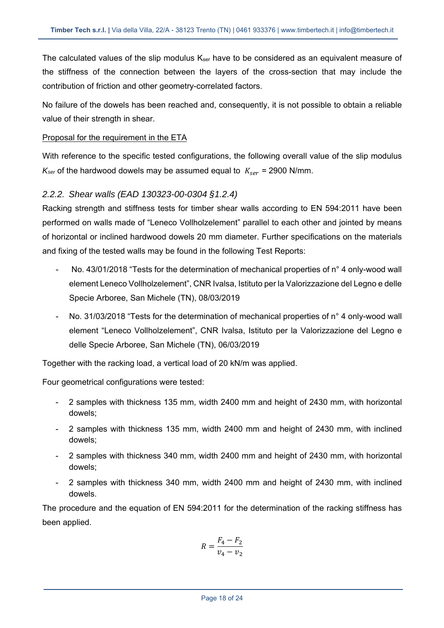The calculated values of the slip modulus  $K_{ser}$  have to be considered as an equivalent measure of the stiffness of the connection between the layers of the cross-section that may include the contribution of friction and other geometry-correlated factors.

No failure of the dowels has been reached and, consequently, it is not possible to obtain a reliable value of their strength in shear.

#### Proposal for the requirement in the ETA

With reference to the specific tested configurations, the following overall value of the slip modulus  $K_{\text{ser}}$  of the hardwood dowels may be assumed equal to  $K_{\text{ser}}$  = 2900 N/mm.

#### *2.2.2. Shear walls (EAD 130323-00-0304 §1.2.4)*

Racking strength and stiffness tests for timber shear walls according to EN 594:2011 have been performed on walls made of "Leneco Vollholzelement" parallel to each other and jointed by means of horizontal or inclined hardwood dowels 20 mm diameter. Further specifications on the materials and fixing of the tested walls may be found in the following Test Reports:

- No. 43/01/2018 "Tests for the determination of mechanical properties of n° 4 only-wood wall element Leneco Vollholzelement", CNR Ivalsa, Istituto per la Valorizzazione del Legno e delle Specie Arboree, San Michele (TN), 08/03/2019
- No. 31/03/2018 "Tests for the determination of mechanical properties of n° 4 only-wood wall element "Leneco Vollholzelement", CNR Ivalsa, Istituto per la Valorizzazione del Legno e delle Specie Arboree, San Michele (TN), 06/03/2019

Together with the racking load, a vertical load of 20 kN/m was applied.

Four geometrical configurations were tested:

- 2 samples with thickness 135 mm, width 2400 mm and height of 2430 mm, with horizontal dowels;
- 2 samples with thickness 135 mm, width 2400 mm and height of 2430 mm, with inclined dowels;
- 2 samples with thickness 340 mm, width 2400 mm and height of 2430 mm, with horizontal dowels;
- 2 samples with thickness 340 mm, width 2400 mm and height of 2430 mm, with inclined dowels.

The procedure and the equation of EN 594:2011 for the determination of the racking stiffness has been applied.

$$
R = \frac{F_4 - F_2}{v_4 - v_2}
$$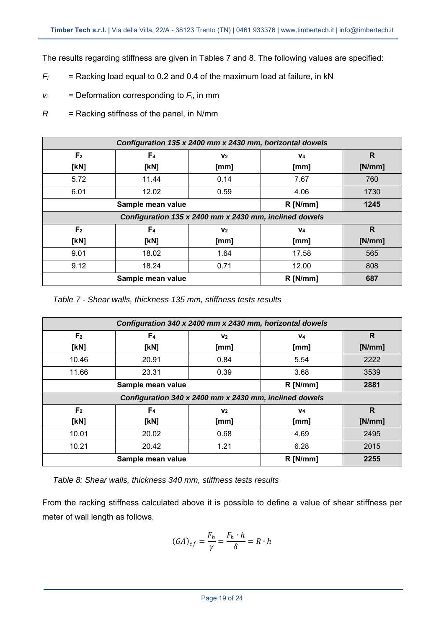The results regarding stiffness are given in Tables 7 and 8. The following values are specified:

- $F_i$  = Racking load equal to 0.2 and 0.4 of the maximum load at failure, in kN
- $v_i$  = Deformation corresponding to  $F_i$ , in mm
- *R* = Racking stiffness of the panel, in N/mm

| Configuration 135 x 2400 mm x 2430 mm, horizontal dowels |                                                    |                                                        |                |        |  |  |  |
|----------------------------------------------------------|----------------------------------------------------|--------------------------------------------------------|----------------|--------|--|--|--|
| F <sub>2</sub>                                           | F <sub>4</sub><br>V <sub>2</sub><br>V <sub>4</sub> |                                                        |                |        |  |  |  |
| [kN]                                                     | [KN]                                               | [mm]                                                   | [mm]           | [N/mm] |  |  |  |
| 5.72                                                     | 11.44                                              | 0.14                                                   | 7.67           | 760    |  |  |  |
| 6.01                                                     | 12.02                                              | 0.59                                                   | 4.06           | 1730   |  |  |  |
|                                                          | $R$ [N/mm]<br>1245<br>Sample mean value            |                                                        |                |        |  |  |  |
|                                                          |                                                    | Configuration 135 x 2400 mm x 2430 mm, inclined dowels |                |        |  |  |  |
| F <sub>2</sub>                                           | F <sub>4</sub>                                     | V <sub>2</sub>                                         | V <sub>4</sub> | R      |  |  |  |
| [kN]                                                     | [KN]                                               | [mm]                                                   | [mm]           | [N/mm] |  |  |  |
| 9.01                                                     | 18.02                                              | 1.64                                                   | 17.58          | 565    |  |  |  |
| 9.12                                                     | 18.24                                              | 0.71                                                   | 12.00          | 808    |  |  |  |
|                                                          | $R$ [N/mm]<br>687<br>Sample mean value             |                                                        |                |        |  |  |  |

*Table 7 - Shear walls, thickness 135 mm, stiffness tests results* 

| Configuration 340 x 2400 mm x 2430 mm, horizontal dowels |                                                    |                                                        |                |              |  |  |  |
|----------------------------------------------------------|----------------------------------------------------|--------------------------------------------------------|----------------|--------------|--|--|--|
| F <sub>2</sub>                                           | F <sub>4</sub><br>V <sub>2</sub><br>V <sub>4</sub> |                                                        |                |              |  |  |  |
| [kN]                                                     | [KN]                                               | [mm]                                                   | [mm]           | [N/mm]       |  |  |  |
| 10.46                                                    | 20.91                                              | 0.84                                                   | 5.54           | 2222         |  |  |  |
| 11.66                                                    | 23.31                                              | 0.39                                                   | 3.68           | 3539         |  |  |  |
|                                                          | Sample mean value<br>$R$ [N/mm]<br>2881            |                                                        |                |              |  |  |  |
|                                                          |                                                    | Configuration 340 x 2400 mm x 2430 mm, inclined dowels |                |              |  |  |  |
| F <sub>2</sub>                                           | F <sub>4</sub>                                     | V <sub>2</sub>                                         | V <sub>4</sub> | $\mathsf{R}$ |  |  |  |
| [kN]                                                     | [KN]                                               | [mm]                                                   | [mm]           | [N/mm]       |  |  |  |
| 10.01                                                    | 20.02                                              | 0.68                                                   | 4.69           | 2495         |  |  |  |
| 10.21                                                    | 20.42                                              | 1.21                                                   | 6.28           | 2015         |  |  |  |
|                                                          | Sample mean value                                  |                                                        | $R$ [N/mm]     | 2255         |  |  |  |

*Table 8: Shear walls, thickness 340 mm, stiffness tests results* 

From the racking stiffness calculated above it is possible to define a value of shear stiffness per meter of wall length as follows.

$$
(GA)_{ef} = \frac{F_h}{\gamma} = \frac{F_h \cdot h}{\delta} = R \cdot h
$$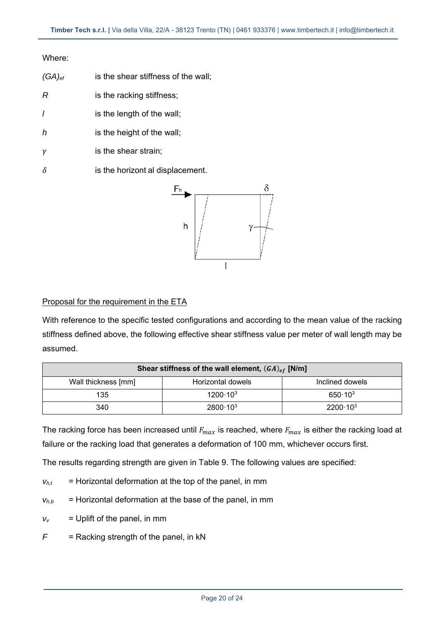#### Where:

| $(GA)_{\text{ef}}$ | is the shear stiffness of the wall; |
|--------------------|-------------------------------------|
| R                  | is the racking stiffness;           |
|                    | is the length of the wall;          |
| h                  | is the height of the wall;          |
|                    | is the shear strain;                |
|                    |                                     |

 $\delta$  is the horizont al displacement.



#### Proposal for the requirement in the ETA

With reference to the specific tested configurations and according to the mean value of the racking stiffness defined above, the following effective shear stiffness value per meter of wall length may be assumed.

| Shear stiffness of the wall element, $(GA)_{ef}$ [N/m] |                     |                     |  |  |
|--------------------------------------------------------|---------------------|---------------------|--|--|
| Wall thickness [mm]                                    | Horizontal dowels   | Inclined dowels     |  |  |
| 135                                                    | $1200 \cdot 10^{3}$ | $650 \cdot 10^{3}$  |  |  |
| 340                                                    | $2800 \cdot 10^{3}$ | $2200 \cdot 10^{3}$ |  |  |

The racking force has been increased until  $F_{max}$  is reached, where  $F_{max}$  is either the racking load at failure or the racking load that generates a deformation of 100 mm, whichever occurs first.

The results regarding strength are given in Table 9. The following values are specified:

- $v_{h,t}$  = Horizontal deformation at the top of the panel, in mm
- $v_{h,b}$  = Horizontal deformation at the base of the panel, in mm
- $v_v$  = Uplift of the panel, in mm
- *F* = Racking strength of the panel, in kN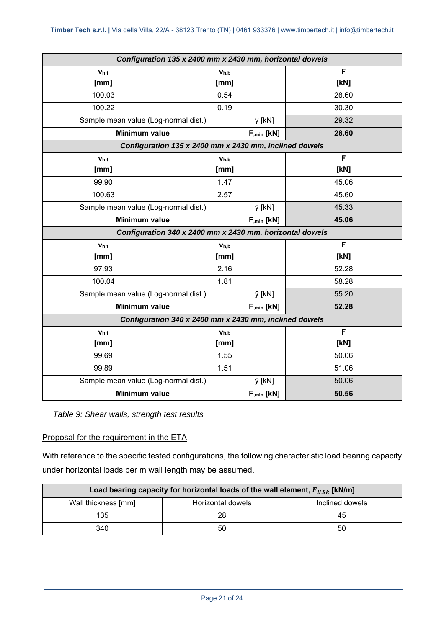| Configuration 135 x 2400 mm x 2430 mm, horizontal dowels |                                                          |                     |       |  |
|----------------------------------------------------------|----------------------------------------------------------|---------------------|-------|--|
| V <sub>h.t</sub>                                         | V <sub>h.b</sub>                                         |                     | F     |  |
| [mm]                                                     | [mm]                                                     |                     | [KN]  |  |
| 100.03                                                   | 0.54                                                     |                     | 28.60 |  |
| 100.22                                                   | 0.19                                                     |                     | 30.30 |  |
| Sample mean value (Log-normal dist.)                     |                                                          | y [kN]              | 29.32 |  |
| <b>Minimum value</b>                                     |                                                          | $F_{,min}$ [kN]     | 28.60 |  |
|                                                          | Configuration 135 x 2400 mm x 2430 mm, inclined dowels   |                     |       |  |
| V <sub>h,t</sub>                                         | Vh,b                                                     |                     | F     |  |
| [mm]                                                     | [mm]                                                     |                     | [KN]  |  |
| 99.90                                                    | 1.47                                                     |                     | 45.06 |  |
| 100.63                                                   | 2.57                                                     |                     | 45.60 |  |
| Sample mean value (Log-normal dist.)                     |                                                          | y [kN]              | 45.33 |  |
| <b>Minimum value</b>                                     |                                                          | $F_{,min}$ [ $kN$ ] | 45.06 |  |
|                                                          | Configuration 340 x 2400 mm x 2430 mm, horizontal dowels |                     |       |  |
| $V_{h,t}$                                                | Vh,b                                                     |                     | F     |  |
| [mm]                                                     | [mm]                                                     |                     | [KN]  |  |
| 97.93                                                    | 2.16                                                     |                     | 52.28 |  |
| 100.04                                                   | 1.81                                                     |                     | 58.28 |  |
| Sample mean value (Log-normal dist.)                     |                                                          | ÿ [kN]              | 55.20 |  |
| <b>Minimum value</b>                                     |                                                          | $F_{,min}$ [kN]     | 52.28 |  |
|                                                          | Configuration 340 x 2400 mm x 2430 mm, inclined dowels   |                     |       |  |
| Vh,t                                                     | Vh,b                                                     |                     | F     |  |
| [mm]                                                     | [mm]                                                     |                     | [KN]  |  |
| 99.69                                                    | 1.55                                                     |                     | 50.06 |  |
| 99.89                                                    | 1.51                                                     |                     | 51.06 |  |
| Sample mean value (Log-normal dist.)                     |                                                          | y [kN]              | 50.06 |  |
|                                                          | Minimum value<br>$F_{,min}$ [ $kN$ ]                     |                     |       |  |

*Table 9: Shear walls, strength test results* 

#### Proposal for the requirement in the ETA

With reference to the specific tested configurations, the following characteristic load bearing capacity under horizontal loads per m wall length may be assumed.

| Load bearing capacity for horizontal loads of the wall element, $F_{H, Rk}$ [kN/m] |    |    |  |  |  |
|------------------------------------------------------------------------------------|----|----|--|--|--|
| Wall thickness [mm]<br>Horizontal dowels<br>Inclined dowels                        |    |    |  |  |  |
| 135                                                                                |    | 45 |  |  |  |
| 340                                                                                | 50 | 50 |  |  |  |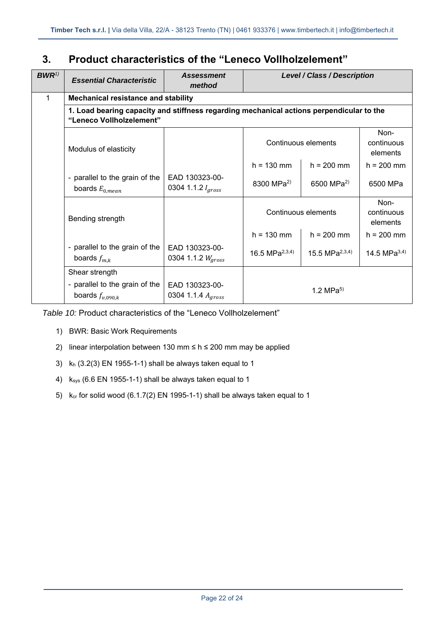# **3. Product characteristics of the "Leneco Vollholzelement"**

| $BWR^{1)}$ | <b>Essential Characteristic</b>                                          | <b>Assessment</b><br>method                                                              | <b>Level / Class / Description</b> |                        |                                |  |
|------------|--------------------------------------------------------------------------|------------------------------------------------------------------------------------------|------------------------------------|------------------------|--------------------------------|--|
| 1          | <b>Mechanical resistance and stability</b>                               |                                                                                          |                                    |                        |                                |  |
|            | "Leneco Vollholzelement"                                                 | 1. Load bearing capacity and stiffness regarding mechanical actions perpendicular to the |                                    |                        |                                |  |
|            | Modulus of elasticity                                                    |                                                                                          | Continuous elements                |                        | Non-<br>continuous<br>elements |  |
|            |                                                                          |                                                                                          | $h = 130$ mm                       | $h = 200$ mm           | $h = 200$ mm                   |  |
|            | - parallel to the grain of the<br>boards $E_{0,mean}$                    | EAD 130323-00-<br>0304 1.1.2 $I_{gross}$                                                 | 8300 MPa <sup>2)</sup>             | 6500 MPa <sup>2)</sup> | 6500 MPa                       |  |
|            | Bending strength                                                         |                                                                                          | Continuous elements                |                        | Non-<br>continuous<br>elements |  |
|            |                                                                          |                                                                                          | $h = 130$ mm                       | $h = 200$ mm           | $h = 200$ mm                   |  |
|            | - parallel to the grain of the<br>boards $f_{m,k}$                       | EAD 130323-00-<br>0304 1.1.2 $W_{gross}$                                                 | 16.5 MPa $^{2,3,4)}$               | 15.5 MPa $^{2,3,4)}$   | 14.5 MPa $^{3,4)}$             |  |
|            | Shear strength<br>- parallel to the grain of the<br>boards $f_{v,090,k}$ | EAD 130323-00-<br>0304 1.1.4 Agross                                                      | 1.2 MPa $^{5)}$                    |                        |                                |  |

*Table 10:* Product characteristics of the "Leneco Vollholzelement"

- 1) BWR: Basic Work Requirements
- 2) linear interpolation between 130 mm  $\leq$  h  $\leq$  200 mm may be applied
- 3) kh (3.2(3) EN 1955-1-1) shall be always taken equal to 1
- 4) ksys (6.6 EN 1955-1-1) shall be always taken equal to 1
- 5)  $k_{cr}$  for solid wood (6.1.7(2) EN 1995-1-1) shall be always taken equal to 1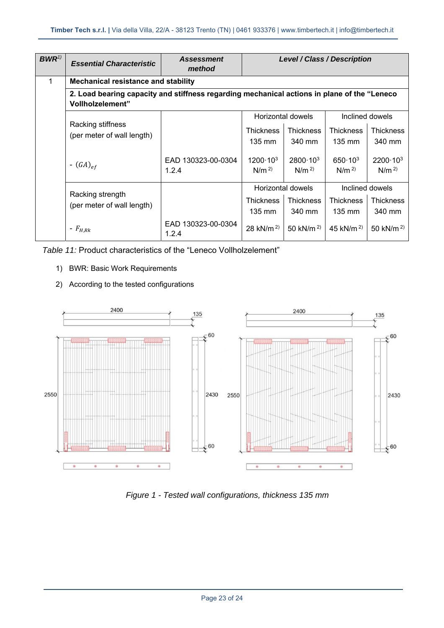| $BWR^{1)}$ | <b>Essential Characteristic</b>                                                                                  | <b>Assessment</b><br>method | Level / Class / Description             |                                         |                                        |                                         |  |
|------------|------------------------------------------------------------------------------------------------------------------|-----------------------------|-----------------------------------------|-----------------------------------------|----------------------------------------|-----------------------------------------|--|
| 1          | <b>Mechanical resistance and stability</b>                                                                       |                             |                                         |                                         |                                        |                                         |  |
|            | 2. Load bearing capacity and stiffness regarding mechanical actions in plane of the "Leneco"<br>Vollholzelement" |                             |                                         |                                         |                                        |                                         |  |
|            |                                                                                                                  |                             |                                         | Horizontal dowels                       |                                        | Inclined dowels                         |  |
|            | Racking stiffness<br>(per meter of wall length)                                                                  |                             | <b>Thickness</b>                        | <b>Thickness</b>                        | <b>Thickness</b>                       | <b>Thickness</b>                        |  |
|            |                                                                                                                  |                             | $135 \text{ mm}$                        | 340 mm                                  | $135 \text{ mm}$                       | 340 mm                                  |  |
|            | - $(GA)_{ef}$                                                                                                    | EAD 130323-00-0304<br>1.2.4 | $1200 \cdot 10^{3}$<br>N/m <sup>2</sup> | $2800 \cdot 10^{3}$<br>N/m <sup>2</sup> | $650 \cdot 10^{3}$<br>N/m <sup>2</sup> | $2200 \cdot 10^{3}$<br>N/m <sup>2</sup> |  |
|            |                                                                                                                  |                             |                                         | Horizontal dowels                       |                                        | Inclined dowels                         |  |
|            | Racking strength<br>(per meter of wall length)                                                                   |                             | <b>Thickness</b>                        | <b>Thickness</b>                        | <b>Thickness</b>                       | <b>Thickness</b>                        |  |
|            |                                                                                                                  |                             | $135 \text{ mm}$                        | 340 mm                                  | $135 \text{ mm}$                       | 340 mm                                  |  |
|            | - $F_{H,Rk}$                                                                                                     | EAD 130323-00-0304<br>1.2.4 | 28 kN/m <sup>2)</sup>                   | 50 kN/m <sup>2)</sup>                   | 45 kN/m <sup>2)</sup>                  | 50 kN/m <sup>2)</sup>                   |  |

*Table 11:* Product characteristics of the "Leneco Vollholzelement"

- 1) BWR: Basic Work Requirements
- 2) According to the tested configurations



*Figure 1 - Tested wall configurations, thickness 135 mm*